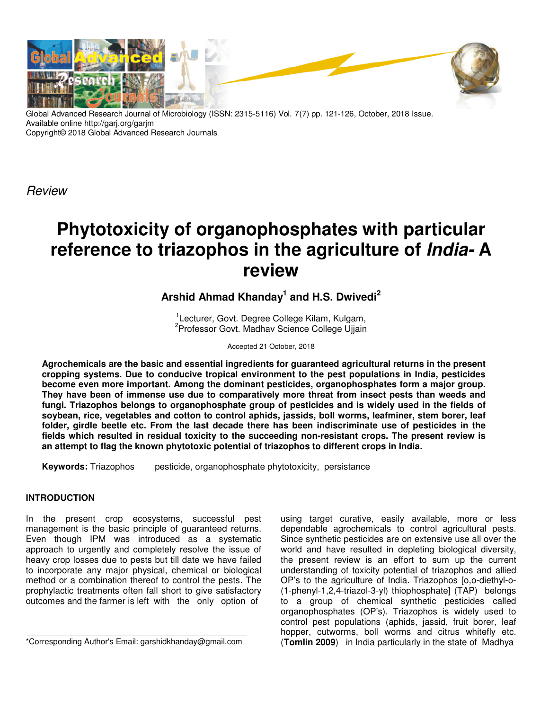

Global Advanced Research Journal of Microbiology (ISSN: 2315-5116) Vol. 7(7) pp. 121-126, October, 2018 Issue. Available online http://garj.org/garjm Copyright© 2018 Global Advanced Research Journals

Review

# **Phytotoxicity of organophosphates with particular reference to triazophos in the agriculture of India- A review**

## **Arshid Ahmad Khanday<sup>1</sup> and H.S. Dwivedi<sup>2</sup>**

<sup>1</sup>Lecturer, Govt. Degree College Kilam, Kulgam, <sup>2</sup> Professor Govt. Madhav Science College Ujjain

Accepted 21 October, 2018

**Agrochemicals are the basic and essential ingredients for guaranteed agricultural returns in the present cropping systems. Due to conducive tropical environment to the pest populations in India, pesticides become even more important. Among the dominant pesticides, organophosphates form a major group. They have been of immense use due to comparatively more threat from insect pests than weeds and fungi. Triazophos belongs to organophosphate group of pesticides and is widely used in the fields of soybean, rice, vegetables and cotton to control aphids, jassids, boll worms, leafminer, stem borer, leaf folder, girdle beetle etc. From the last decade there has been indiscriminate use of pesticides in the fields which resulted in residual toxicity to the succeeding non-resistant crops. The present review is an attempt to flag the known phytotoxic potential of triazophos to different crops in India.** 

**Keywords:** Triazophos pesticide, organophosphate phytotoxicity, persistance

## **INTRODUCTION**

In the present crop ecosystems, successful pest management is the basic principle of guaranteed returns. Even though IPM was introduced as a systematic approach to urgently and completely resolve the issue of heavy crop losses due to pests but till date we have failed to incorporate any major physical, chemical or biological method or a combination thereof to control the pests. The prophylactic treatments often fall short to give satisfactory outcomes and the farmer is left with the only option of

using target curative, easily available, more or less dependable agrochemicals to control agricultural pests. Since synthetic pesticides are on extensive use all over the world and have resulted in depleting biological diversity, the present review is an effort to sum up the current understanding of toxicity potential of triazophos and allied OP's to the agriculture of India. Triazophos [o,o-diethyl-o- (1-phenyl-1,2,4-triazol-3-yl) thiophosphate] (TAP) belongs to a group of chemical synthetic pesticides called organophosphates (OP's). Triazophos is widely used to control pest populations (aphids, jassid, fruit borer, leaf hopper, cutworms, boll worms and citrus whitefly etc. (**Tomlin 2009**) in India particularly in the state of Madhya

<sup>\*</sup>Corresponding Author's Email: garshidkhanday@gmail.com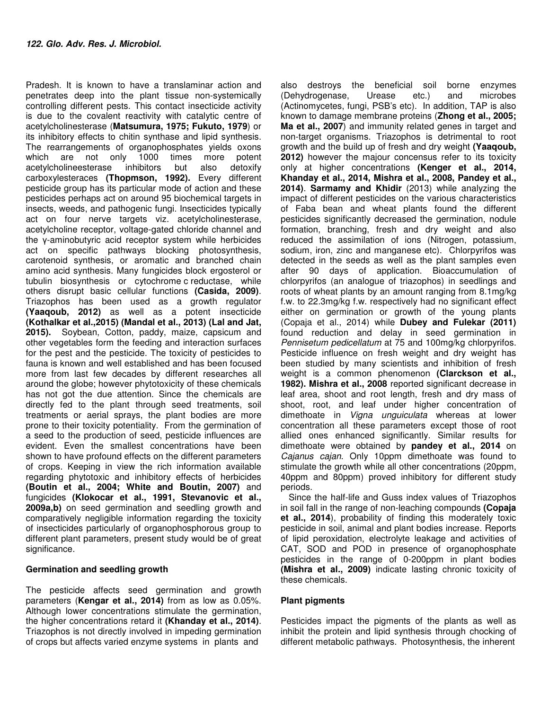Pradesh. It is known to have a translaminar action and penetrates deep into the plant tissue non-systemically controlling different pests. This contact insecticide activity is due to the covalent reactivity with catalytic centre of acetylcholinesterase (**Matsumura, 1975; Fukuto, 1979**) or its inhibitory effects to chitin synthase and lipid synthesis. The rearrangements of organophosphates yields oxons which are not only 1000 times more potent acetylcholineesterase inhibitors but also detoxify carboxylesteraces **(Thopmson, 1992).** Every different pesticide group has its particular mode of action and these pesticides perhaps act on around 95 biochemical targets in insects, weeds, and pathogenic fungi. Insecticides typically act on four nerve targets viz. acetylcholinesterase, acetylcholine receptor, voltage-gated chloride channel and the γ-aminobutyric acid receptor system while herbicides act on specific pathways blocking photosynthesis, carotenoid synthesis, or aromatic and branched chain amino acid synthesis. Many fungicides block ergosterol or tubulin biosynthesis or cytochrome c reductase, while others disrupt basic cellular functions **(Casida, 2009)**. Triazophos has been used as a growth regulator **(Yaaqoub, 2012)** as well as a potent insecticide **(Kothalkar et al.,2015) (Mandal et al., 2013) (Lal and Jat, 2015).** Soybean, Cotton, paddy, maize, capsicum and other vegetables form the feeding and interaction surfaces for the pest and the pesticide. The toxicity of pesticides to fauna is known and well established and has been focused more from last few decades by different researches all around the globe; however phytotoxicity of these chemicals has not got the due attention. Since the chemicals are directly fed to the plant through seed treatments, soil treatments or aerial sprays, the plant bodies are more prone to their toxicity potentiality. From the germination of a seed to the production of seed, pesticide influences are evident. Even the smallest concentrations have been shown to have profound effects on the different parameters of crops. Keeping in view the rich information available regarding phytotoxic and inhibitory effects of herbicides **(Boutin et al., 2004; White and Boutin, 2007)** and fungicides **(Klokocar et al., 1991, Stevanovic et al., 2009a,b)** on seed germination and seedling growth and comparatively negligible information regarding the toxicity of insecticides particularly of organophosphorous group to different plant parameters, present study would be of great significance.

#### **Germination and seedling growth**

The pesticide affects seed germination and growth parameters (**Kengar et al., 2014)** from as low as 0.05%. Although lower concentrations stimulate the germination, the higher concentrations retard it **(Khanday et al., 2014)**. Triazophos is not directly involved in impeding germination of crops but affects varied enzyme systems in plants and

also destroys the beneficial soil borne enzymes (Dehydrogenase, Urease etc.) and microbes (Actinomycetes, fungi, PSB's etc). In addition, TAP is also known to damage membrane proteins (**Zhong et al., 2005; Ma et al., 2007**) and immunity related genes in target and non-target organisms. Triazophos is detrimental to root growth and the build up of fresh and dry weight **(Yaaqoub, 2012)** however the majour concensus refer to its toxicity only at higher concentrations **(Kenger et al., 2014, Khanday et al., 2014, Mishra et al., 2008, Pandey et al., 2014)**. **Sarmamy and Khidir** (2013) while analyzing the impact of different pesticides on the various characteristics of Faba bean and wheat plants found the different pesticides significantly decreased the germination, nodule formation, branching, fresh and dry weight and also reduced the assimilation of ions (Nitrogen, potassium, sodium, iron, zinc and manganese etc). Chlorpyrifos was detected in the seeds as well as the plant samples even after 90 days of application. Bioaccumulation of chlorpyrifos (an analogue of triazophos) in seedlings and roots of wheat plants by an amount ranging from 8.1mg/kg f.w. to 22.3mg/kg f.w. respectively had no significant effect either on germination or growth of the young plants (Copaja et al., 2014) while **Dubey and Fulekar (2011)** found reduction and delay in seed germination in Pennisetum pedicellatum at 75 and 100mg/kg chlorpyrifos. Pesticide influence on fresh weight and dry weight has been studied by many scientists and inhibition of fresh weight is a common phenomenon **(Clarckson et al., 1982). Mishra et al., 2008** reported significant decrease in leaf area, shoot and root length, fresh and dry mass of shoot, root, and leaf under higher concentration of dimethoate in Vigna unguiculata whereas at lower concentration all these parameters except those of root allied ones enhanced significantly. Similar results for dimethoate were obtained by **pandey et al., 2014** on Cajanus cajan. Only 10ppm dimethoate was found to stimulate the growth while all other concentrations (20ppm, 40ppm and 80ppm) proved inhibitory for different study periods.

Since the half-life and Guss index values of Triazophos in soil fall in the range of non-leaching compounds **(Copaja et al., 2014**), probability of finding this moderately toxic pesticide in soil, animal and plant bodies increase. Reports of lipid peroxidation, electrolyte leakage and activities of CAT, SOD and POD in presence of organophosphate pesticides in the range of 0-200ppm in plant bodies **(Mishra et al., 2009)** indicate lasting chronic toxicity of these chemicals.

#### **Plant pigments**

Pesticides impact the pigments of the plants as well as inhibit the protein and lipid synthesis through chocking of different metabolic pathways. Photosynthesis, the inherent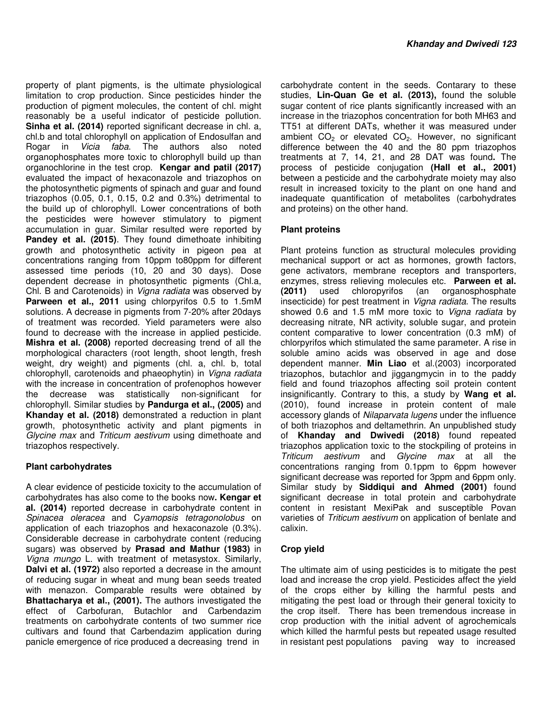property of plant pigments, is the ultimate physiological limitation to crop production. Since pesticides hinder the production of pigment molecules, the content of chl. might reasonably be a useful indicator of pesticide pollution. **Sinha et al. (2014)** reported significant decrease in chl. a, chl.b and total chlorophyll on application of Endosulfan and Rogar in Vicia faba. The authors also noted organophosphates more toxic to chlorophyll build up than organochlorine in the test crop. **Kengar and patil (2017)** evaluated the impact of hexaconazole and triazophos on the photosynthetic pigments of spinach and guar and found triazophos (0.05, 0.1, 0.15, 0.2 and 0.3%) detrimental to the build up of chlorophyll. Lower concentrations of both the pesticides were however stimulatory to pigment accumulation in guar. Similar resulted were reported by Pandey et al. (2015). They found dimethoate inhibiting growth and photosynthetic activity in pigeon pea at concentrations ranging from 10ppm to80ppm for different assessed time periods (10, 20 and 30 days). Dose dependent decrease in photosynthetic pigments (Chl.a, Chl. B and Carotenoids) in Vigna radiata was observed by **Parween et al., 2011** using chlorpyrifos 0.5 to 1.5mM solutions. A decrease in pigments from 7-20% after 20days of treatment was recorded. Yield parameters were also found to decrease with the increase in applied pesticide. **Mishra et al. (2008)** reported decreasing trend of all the morphological characters (root length, shoot length, fresh weight, dry weight) and pigments (chl. a, chl. b, total chlorophyll, carotenoids and phaeophytin) in Vigna radiata with the increase in concentration of profenophos however the decrease was statistically non-significant for chlorophyll. Similar studies by **Pandurga et al., (2005)** and **Khanday et al. (2018)** demonstrated a reduction in plant growth, photosynthetic activity and plant pigments in Glycine max and Triticum aestivum using dimethoate and triazophos respectively.

### **Plant carbohydrates**

A clear evidence of pesticide toxicity to the accumulation of carbohydrates has also come to the books now**. Kengar et al. (2014)** reported decrease in carbohydrate content in Spinacea oleracea and Cyamopsis tetragonolobus on application of each triazophos and hexaconazole (0.3%). Considerable decrease in carbohydrate content (reducing sugars) was observed by **Prasad and Mathur (1983)** in Vigna mungo L. with treatment of metasystox. Similarly, **Dalvi et al. (1972)** also reported a decrease in the amount of reducing sugar in wheat and mung bean seeds treated with menazon. Comparable results were obtained by **Bhattacharya et al., (2001).** The authors investigated the effect of Carbofuran, Butachlor and Carbendazim treatments on carbohydrate contents of two summer rice cultivars and found that Carbendazim application during panicle emergence of rice produced a decreasing trend in

carbohydrate content in the seeds. Contarary to these studies, **Lin-Quan Ge et al. (2013),** found the soluble sugar content of rice plants significantly increased with an increase in the triazophos concentration for both MH63 and TT51 at different DATs, whether it was measured under ambient  $CO<sub>2</sub>$  or elevated  $CO<sub>2</sub>$ . However, no significant difference between the 40 and the 80 ppm triazophos treatments at 7, 14, 21, and 28 DAT was found**.** The process of pesticide conjugation **(Hall et al., 2001)** between a pesticide and the carbohydrate moiety may also result in increased toxicity to the plant on one hand and inadequate quantification of metabolites (carbohydrates and proteins) on the other hand.

## **Plant proteins**

Plant proteins function as structural molecules providing mechanical support or act as hormones, growth factors, gene activators, membrane receptors and transporters, enzymes, stress relieving molecules etc. **Parween et al. (2011)** used chloropyrifos (an organosphosphate insecticide) for pest treatment in Vigna radiata. The results showed 0.6 and 1.5 mM more toxic to Vigna radiata by decreasing nitrate, NR activity, soluble sugar, and protein content comparative to lower concentration (0.3 mM) of chlorpyrifos which stimulated the same parameter. A rise in soluble amino acids was observed in age and dose dependent manner. **Min Liao** et al.(2003) incorporated triazophos, butachlor and jiggangmycin in to the paddy field and found triazophos affecting soil protein content insignificantly. Contrary to this, a study by **Wang et al.** (2010), found increase in protein content of male accessory glands of Nilaparvata lugens under the influence of both triazophos and deltamethrin. An unpublished study of **Khanday and Dwivedi (2018)** found repeated triazophos application toxic to the stockpiling of proteins in Triticum aestivum and Glycine max at all the concentrations ranging from 0.1ppm to 6ppm however significant decrease was reported for 3ppm and 6ppm only. Similar study by **Siddiqui and Ahmed (2001)** found significant decrease in total protein and carbohydrate content in resistant MexiPak and susceptible Povan varieties of Triticum aestivum on application of benlate and calixin.

### **Crop yield**

The ultimate aim of using pesticides is to mitigate the pest load and increase the crop yield. Pesticides affect the yield of the crops either by killing the harmful pests and mitigating the pest load or through their general toxicity to the crop itself. There has been tremendous increase in crop production with the initial advent of agrochemicals which killed the harmful pests but repeated usage resulted in resistant pest populations paving way to increased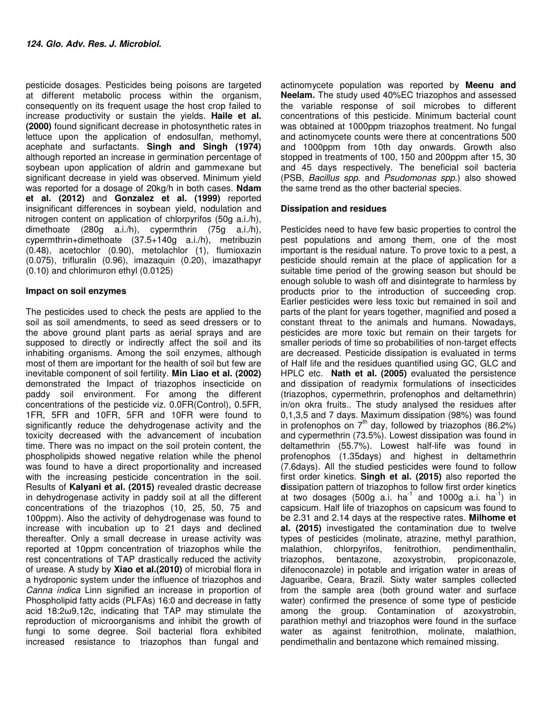pesticide dosages. Pesticides being poisons are targeted at different metabolic process within the organism, consequently on its frequent usage the host crop failed to increase productivity or sustain the yields. **Haile et al. (2000)** found significant decrease in photosynthetic rates in lettuce upon the application of endosulfan, methomyl, acephate and surfactants. **Singh and Singh (1974)** although reported an increase in germination percentage of soybean upon application of aldrin and gammexane but significant decrease in yield was observed. Minimum yield was reported for a dosage of 20kg/h in both cases. **Ndam et al. (2012)** and **Gonzalez et al. (1999)** reported insignificant differences in soybean yield, nodulation and nitrogen content on application of chlorpyrifos (50g a.i./h), dimethoate (280g a.i./h), cypermthrin (75g a.i./h), cypermthrin+dimethoate (37.5+140g a.i./h), metribuzin (0.48), acetochlor (0.90), metolachlor (1), flumioxazin (0.075), trifluralin (0.96), imazaquin (0.20), imazathapyr (0.10) and chlorimuron ethyl (0.0125)

#### **Impact on soil enzymes**

The pesticides used to check the pests are applied to the soil as soil amendments, to seed as seed dressers or to the above ground plant parts as aerial sprays and are supposed to directly or indirectly affect the soil and its inhabiting organisms. Among the soil enzymes, although most of them are important for the health of soil but few are inevitable component of soil fertility. **Min Liao et al. (2002)** demonstrated the Impact of triazophos insecticide on paddy soil environment. For among the different concentrations of the pesticide viz. 0.0FR(Control), 0.5FR, 1FR, 5FR and 10FR, 5FR and 10FR were found to significantly reduce the dehydrogenase activity and the toxicity decreased with the advancement of incubation time. There was no impact on the soil protein content, the phospholipids showed negative relation while the phenol was found to have a direct proportionality and increased with the increasing pesticide concentration in the soil. Results of **Kalyani et al. (2015)** revealed drastic decrease in dehydrogenase activity in paddy soil at all the different concentrations of the triazophos (10, 25, 50, 75 and 100ppm). Also the activity of dehydrogenase was found to increase with incubation up to 21 days and declined thereafter. Only a small decrease in urease activity was reported at 10ppm concentration of triazophos while the rest concentrations of TAP drastically reduced the activity of urease. A study by **Xiao et al.(2010)** of microbial flora in a hydroponic system under the influence of triazophos and Canna indica Linn signified an increase in proportion of Phospholipid fatty acids (PLFAs) 16:0 and decrease in fatty acid 18:2ω9,12c, indicating that TAP may stimulate the reproduction of microorganisms and inhibit the growth of fungi to some degree. Soil bacterial flora exhibited increased resistance to triazophos than fungal and

actinomycete population was reported by **Meenu and Neelam.** The study used 40%EC triazophos and assessed the variable response of soil microbes to different concentrations of this pesticide. Minimum bacterial count was obtained at 1000ppm triazophos treatment. No fungal and actinomycete counts were there at concentrations 500 and 1000ppm from 10th day onwards. Growth also stopped in treatments of 100, 150 and 200ppm after 15, 30 and 45 days respectively. The beneficial soil bacteria (PSB, Bacillus spp. and Psudomonas spp.) also showed the same trend as the other bacterial species.

#### **Dissipation and residues**

Pesticides need to have few basic properties to control the pest populations and among them, one of the most important is the residual nature. To prove toxic to a pest, a pesticide should remain at the place of application for a suitable time period of the growing season but should be enough soluble to wash off and disintegrate to harmless by products prior to the introduction of succeeding crop. Earlier pesticides were less toxic but remained in soil and parts of the plant for years together, magnified and posed a constant threat to the animals and humans. Nowadays, pesticides are more toxic but remain on their targets for smaller periods of time so probabilities of non-target effects are decreased. Pesticide dissipation is evaluated in terms of Half life and the residues quantified using GC, GLC and HPLC etc. **Nath et al. (2005)** evaluated the persistence and dissipation of readymix formulations of insecticides (triazophos, cypermethrin, profenophos and deltamethrin) in/on okra fruits.. The study analysed the residues after 0,1,3,5 and 7 days. Maximum dissipation (98%) was found in profenophos on  $7<sup>th</sup>$  day, followed by triazophos (86.2%) and cypermethrin (73.5%). Lowest dissipation was found in deltamethrin (55.7%). Lowest half-life was found in profenophos (1.35days) and highest in deltamethrin (7.6days). All the studied pesticides were found to follow first order kinetics. **Singh et al. (2015)** also reported the **d**issipation pattern of triazophos to follow first order kinetics at two dosages  $(500g \text{ a}i. \text{ ha}^{-1} \text{ and } 1000g \text{ a}i. \text{ ha}^{-1})$  in capsicum. Half life of triazophos on capsicum was found to be 2.31 and 2.14 days at the respective rates. **Milhome et al. (2015)** investigated the contamination due to twelve types of pesticides (molinate, atrazine, methyl parathion, malathion, chlorpyrifos, fenitrothion, pendimenthalin, triazophos, bentazone, azoxystrobin, propiconazole, difenoconazole) in potable and irrigation water in areas of Jaguaribe, Ceara, Brazil. Sixty water samples collected from the sample area (both ground water and surface water) confirmed the presence of some type of pesticide among the group. Contamination of azoxystrobin, parathion methyl and triazophos were found in the surface water as against fenitrothion, molinate, malathion, pendimethalin and bentazone which remained missing.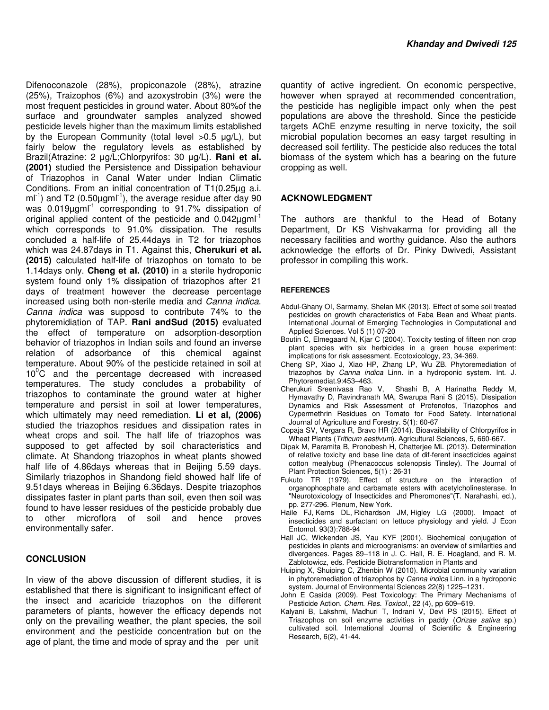Difenoconazole (28%), propiconazole (28%), atrazine (25%), Traizophos (6%) and azoxystrobin (3%) were the most frequent pesticides in ground water. About 80%of the surface and groundwater samples analyzed showed pesticide levels higher than the maximum limits established by the European Community (total level >0.5 µg/L), but fairly below the regulatory levels as established by Brazil(Atrazine: 2 µg/L;Chlorpyrifos: 30 µg/L). **Rani et al. (2001)** studied the Persistence and Dissipation behaviour of Triazophos in Canal Water under Indian Climatic Conditions. From an initial concentration of T1(0.25µg a.i.  $mI<sup>-1</sup>$ ) and T2 (0.50 $\mu$ gm $I<sup>-1</sup>$ ), the average residue after day 90 was 0.019µgml<sup>-1</sup> corresponding to 91.7% dissipation of original applied content of the pesticide and  $0.042 \mu$ gml<sup>-1</sup> which corresponds to 91.0% dissipation. The results concluded a half-life of 25.44days in T2 for triazophos which was 24.87days in T1. Against this, **Cherukuri et al. (2015)** calculated half-life of triazophos on tomato to be 1.14days only. **Cheng et al. (2010)** in a sterile hydroponic system found only 1% dissipation of triazophos after 21 days of treatment however the decrease percentage increased using both non-sterile media and Canna indica. Canna indica was supposd to contribute 74% to the phytoremidiation of TAP. **Rani andSud (2015)** evaluated the effect of temperature on adsorption-desorption behavior of triazophos in Indian soils and found an inverse relation of adsorbance of this chemical against temperature. About 90% of the pesticide retained in soil at  $10^0$ C and the percentage decreased with increased temperatures. The study concludes a probability of triazophos to contaminate the ground water at higher temperature and persist in soil at lower temperatures, which ultimately may need remediation. **Li et al, (2006)** studied the triazophos residues and dissipation rates in wheat crops and soil. The half life of triazophos was supposed to get affected by soil characteristics and climate. At Shandong triazophos in wheat plants showed half life of 4.86days whereas that in Beijing 5.59 days. Similarly triazophos in Shandong field showed half life of 9.51days whereas in Beijing 6.36days. Despite triazophos dissipates faster in plant parts than soil, even then soil was found to have lesser residues of the pesticide probably due to other microflora of soil and hence proves environmentally safer.

#### **CONCLUSION**

In view of the above discussion of different studies, it is established that there is significant to insignificant effect of the insect and acaricide triazophos on the different parameters of plants, however the efficacy depends not only on the prevailing weather, the plant species, the soil environment and the pesticide concentration but on the age of plant, the time and mode of spray and the per unit

quantity of active ingredient. On economic perspective, however when sprayed at recommended concentration, the pesticide has negligible impact only when the pest populations are above the threshold. Since the pesticide targets AChE enzyme resulting in nerve toxicity, the soil microbial population becomes an easy target resulting in decreased soil fertility. The pesticide also reduces the total biomass of the system which has a bearing on the future cropping as well.

#### **ACKNOWLEDGMENT**

The authors are thankful to the Head of Botany Department, Dr KS Vishvakarma for providing all the necessary facilities and worthy guidance. Also the authors acknowledge the efforts of Dr. Pinky Dwivedi, Assistant professor in compiling this work.

#### **REFERENCES**

- Abdul-Ghany OI, Sarmamy, Shelan MK (2013). Effect of some soil treated pesticides on growth characteristics of Faba Bean and Wheat plants. International Journal of Emerging Technologies in Computational and Applied Sciences. Vol 5 (1) 07-20
- Boutin C, Elmegaard N, Kjar C (2004). Toxicity testing of fifteen non crop plant species with six herbicides in a green house experiment: implications for risk assessment. Ecotoxicology, 23, 34-369.
- Cheng SP, Xiao J, Xiao HP, Zhang LP, Wu ZB. Phytoremediation of triazophos by Canna indica Linn. in a hydroponic system. Int. J. Phytoremediat.9:453–463.
- Cherukuri Sreenivasa Rao V, Shashi B, A Harinatha Reddy M, Hymavathy D, Ravindranath MA, Swarupa Rani S (2015). Dissipation Dynamics and Risk Assessment of Profenofos, Triazophos and Cypermethrin Residues on Tomato for Food Safety. International Journal of Agriculture and Forestry. 5(1): 60-67
- Copaja SV, Vergara R, Bravo HR (2014). Bioavailability of Chlorpyrifos in Wheat Plants (Triticum aestivum). Agricultural Sciences, 5, 660-667.
- Dipak M, Paramita B, Pronobesh H, Chatterjee ML (2013). Determination of relative toxicity and base line data of dif-ferent insecticides against cotton mealybug (Phenacoccus solenopsis Tinsley). The Journal of Plant Protection Sciences, 5(1) : 26-31
- Fukuto TR (1979). Effect of structure on the interaction of organophosphate and carbamate esters with acetylcholinesterase. In "Neurotoxicology of Insecticides and Pheromones"(T. Narahashi, ed.), pp. 277-296. Plenum, New York.
- Haile FJ, Kerns DL, Richardson JM, Higley LG (2000). Impact of insecticides and surfactant on lettuce physiology and yield. J Econ Entomol. 93(3):788-94
- Hall JC, Wickenden JS, Yau KYF (2001). Biochemical conjugation of pesticides in plants and microogranisms: an overview of similarities and divergences. Pages 89–118 in J. C. Hall, R. E. Hoagland, and R. M. Zablotowicz, eds. Pesticide Biotransformation in Plants and
- Huiping X, Shuiping C, Zhenbin W (2010). Microbial community variation in phytoremediation of triazophos by Canna indica Linn. in a hydroponic system. Journal of Environmental Sciences 22(8) 1225–1231.
- John E Casida (2009). Pest Toxicology: The Primary Mechanisms of Pesticide Action. Chem. Res. Toxicol., 22 (4), pp 609-619.
- Kalyani B, Lakshmi, Madhuri T, Indrani V, Devi PS (2015). Effect of Triazophos on soil enzyme activities in paddy (Orizae sativa sp.) cultivated soil. International Journal of Scientific & Engineering Research, 6(2), 41-44.